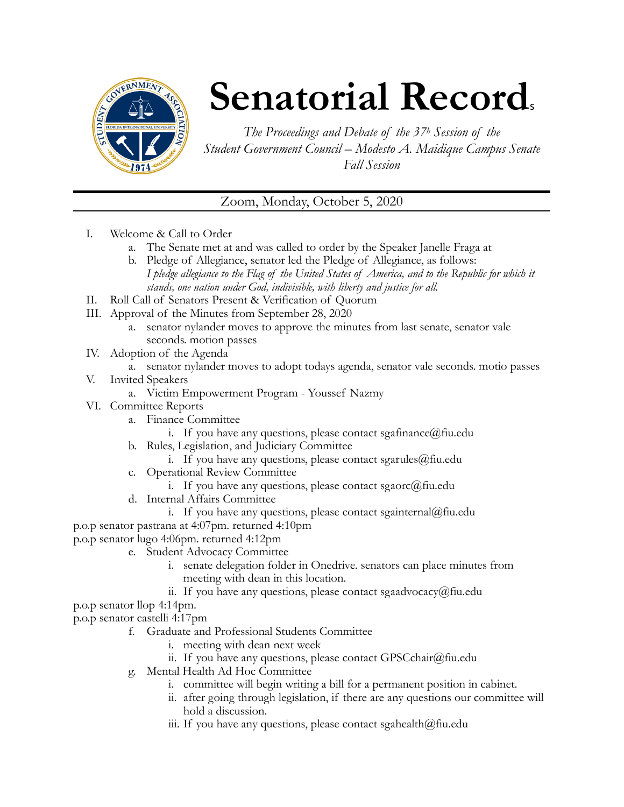

# **Senatorial Records**

*The Proceedings and Debate of the 37h Session of the Student Government Council – Modesto A. Maidique Campus Senate Fall Session* 

Zoom, Monday, October 5, 2020

- I. Welcome & Call to Order
	- a. The Senate met at and was called to order by the Speaker Janelle Fraga at
	- b. Pledge of Allegiance, senator led the Pledge of Allegiance, as follows: *I pledge allegiance to the Flag of the United States of America, and to the Republic for which it stands, one nation under God, indivisible, with liberty and justice for all.*
- II. Roll Call of Senators Present & Verification of Quorum
- III. Approval of the Minutes from September 28, 2020
	- a. senator nylander moves to approve the minutes from last senate, senator vale seconds. motion passes
- IV. Adoption of the Agenda
	- a. senator nylander moves to adopt todays agenda, senator vale seconds. motio passes
- V. Invited Speakers
	- a. Victim Empowerment Program Youssef Nazmy
- VI. Committee Reports
	- a. Finance Committee
		- i. If you have any questions, please contact sgafinance  $@$  fiu.edu
	- b. Rules, Legislation, and Judiciary Committee
		- i. If you have any questions, please contact sgarules $@$ fiu.edu
	- c. Operational Review Committee
		- i. If you have any questions, please contact sgaorc $(\hat{\omega})$ fiu.edu
	- d. Internal Affairs Committee
		- i. If you have any questions, please contact sgainternal@fiu.edu
- p.o.p senator pastrana at 4:07pm. returned 4:10pm
- p.o.p senator lugo 4:06pm. returned 4:12pm
	- e. Student Advocacy Committee
		- i. senate delegation folder in Onedrive. senators can place minutes from meeting with dean in this location.
		- ii. If you have any questions, please contact sgaadvocacy@fiu.edu

p.o.p senator llop 4:14pm.

p.o.p senator castelli 4:17pm

- f. Graduate and Professional Students Committee
	- i. meeting with dean next week
	- ii. If you have any questions, please contact GPSCchair@fiu.edu
- g. Mental Health Ad Hoc Committee
	- i. committee will begin writing a bill for a permanent position in cabinet.
	- ii. after going through legislation, if there are any questions our committee will hold a discussion.
	- iii. If you have any questions, please contact sgahealth $@$ fiu.edu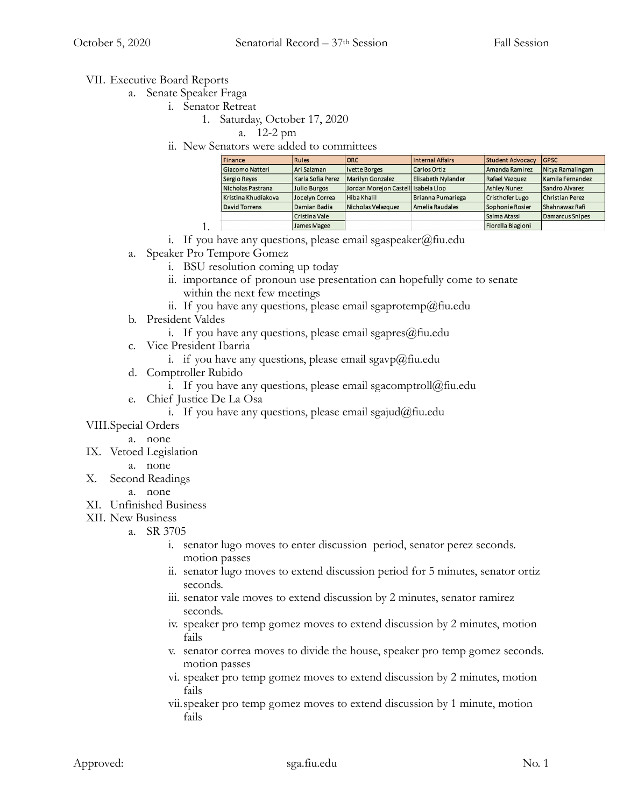## VII. Executive Board Reports

- a. Senate Speaker Fraga
	- i. Senator Retreat
		- 1. Saturday, October 17, 2020
			- a. 12-2 pm
		- ii. New Senators were added to committees

| Finance             | Rules             | IORC                                | Internal Affairs   | <b>Student Advocacy</b> | <b>IGPSC</b>     |
|---------------------|-------------------|-------------------------------------|--------------------|-------------------------|------------------|
| Giacomo Natteri     | Ari Salzman       | Ivette Borges                       | Carlos Ortiz       | Amanda Ramirez          | Nitya Ramalingam |
| Sergio Reyes        | Karla Sofia Perez | Marilyn Gonzalez                    | Elisabeth Nylander | Rafael Vazquez          | Kamila Fernandez |
| Nicholas Pastrana   | Julio Burgos      | Jordan Morejon Castell Isabela Llop |                    | <b>Ashley Nunez</b>     | Sandro Alvarez   |
| Kristina Khudiakova | Jocelyn Correa    | Hiba Khalil                         | Brianna Pumariega  | Cristhofer Lugo         | Christian Perez  |
| David Torrens       | Damian Badia      | Nicholas Velazquez                  | Amelia Raudales    | Sophonie Rosier         | Shahnawaz Rafi   |
|                     | Cristina Vale     |                                     |                    | Salma Atassi            | Damarcus Snipes  |
|                     | James Magee       |                                     |                    | Fiorella Biagioni       |                  |

- i. If you have any questions, please email sgaspeaker@fiu.edu
- a. Speaker Pro Tempore Gomez

1.

- i. BSU resolution coming up today
- ii. importance of pronoun use presentation can hopefully come to senate within the next few meetings
- ii. If you have any questions, please email sgaprotemp@fiu.edu
- b. President Valdes
	- i. If you have any questions, please email sgapres $@$ fiu.edu
- c. Vice President Ibarria
	- i. if you have any questions, please email sgavp $(\partial \Omega)$ fiu.edu
- d. Comptroller Rubido
	- i. If you have any questions, please email sgacomptroll@fiu.edu
- e. Chief Justice De La Osa
	- i. If you have any questions, please email sgajud@fiu.edu

### VIII.Special Orders

- a. none
- IX. Vetoed Legislation
	- a. none
- X. Second Readings

#### a. none

- XI. Unfinished Business
- XII. New Business
	- a. SR 3705
		- i. senator lugo moves to enter discussion period, senator perez seconds. motion passes
		- ii. senator lugo moves to extend discussion period for 5 minutes, senator ortiz seconds.
		- iii. senator vale moves to extend discussion by 2 minutes, senator ramirez seconds.
		- iv. speaker pro temp gomez moves to extend discussion by 2 minutes, motion fails
		- v. senator correa moves to divide the house, speaker pro temp gomez seconds. motion passes
		- vi. speaker pro temp gomez moves to extend discussion by 2 minutes, motion fails
		- vii.speaker pro temp gomez moves to extend discussion by 1 minute, motion fails